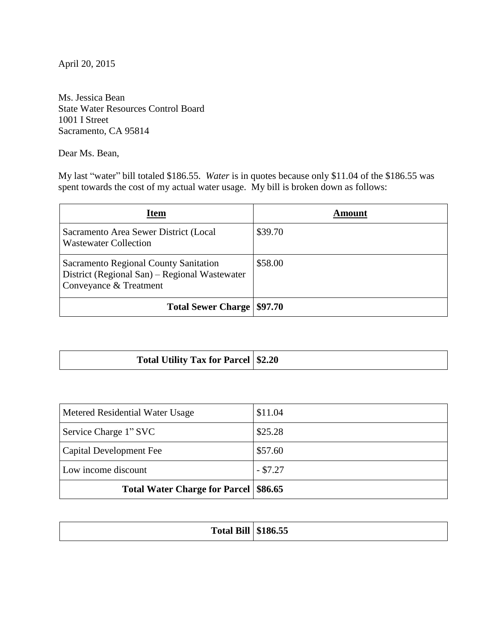April 20, 2015

Ms. Jessica Bean State Water Resources Control Board 1001 I Street Sacramento, CA 95814

Dear Ms. Bean,

My last "water" bill totaled \$186.55. *Water* is in quotes because only \$11.04 of the \$186.55 was spent towards the cost of my actual water usage. My bill is broken down as follows:

| Item                                                                                                             | Amount  |
|------------------------------------------------------------------------------------------------------------------|---------|
| Sacramento Area Sewer District (Local<br><b>Wastewater Collection</b>                                            | \$39.70 |
| Sacramento Regional County Sanitation<br>District (Regional San) - Regional Wastewater<br>Conveyance & Treatment | \$58.00 |
| <b>Total Sewer Charge   \$97.70</b>                                                                              |         |

| Total Utility Tax for Parcel   \$2.20 |  |
|---------------------------------------|--|
|---------------------------------------|--|

| Metered Residential Water Usage         | \$11.04    |
|-----------------------------------------|------------|
| Service Charge 1" SVC                   | \$25.28    |
| Capital Development Fee                 | \$57.60    |
| Low income discount                     | $-$ \$7.27 |
| Total Water Charge for Parcel   \$86.65 |            |

| $\sim \cdot$<br><b>Total Bill   \$186.55</b> | $A + C = F$ |
|----------------------------------------------|-------------|
|                                              |             |